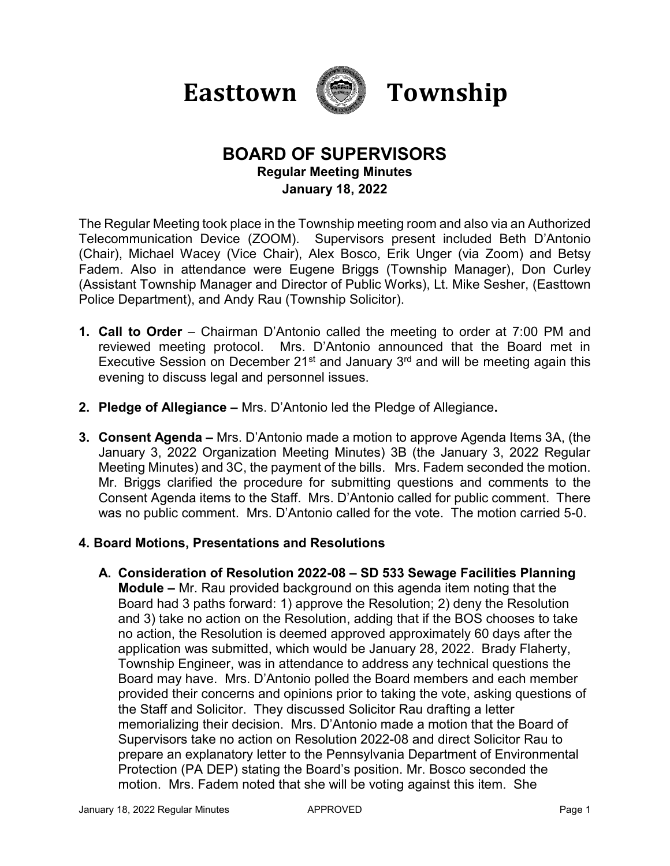



# **BOARD OF SUPERVISORS Regular Meeting Minutes January 18, 2022**

The Regular Meeting took place in the Township meeting room and also via an Authorized Telecommunication Device (ZOOM). Supervisors present included Beth D'Antonio (Chair), Michael Wacey (Vice Chair), Alex Bosco, Erik Unger (via Zoom) and Betsy Fadem. Also in attendance were Eugene Briggs (Township Manager), Don Curley (Assistant Township Manager and Director of Public Works), Lt. Mike Sesher, (Easttown Police Department), and Andy Rau (Township Solicitor).

- **1. Call to Order**  Chairman D'Antonio called the meeting to order at 7:00 PM and reviewed meeting protocol. Mrs. D'Antonio announced that the Board met in Executive Session on December 21<sup>st</sup> and January  $3<sup>rd</sup>$  and will be meeting again this evening to discuss legal and personnel issues.
- **2. Pledge of Allegiance –** Mrs. D'Antonio led the Pledge of Allegiance**.**
- **3. Consent Agenda –** Mrs. D'Antonio made a motion to approve Agenda Items 3A, (the January 3, 2022 Organization Meeting Minutes) 3B (the January 3, 2022 Regular Meeting Minutes) and 3C, the payment of the bills.Mrs. Fadem seconded the motion. Mr. Briggs clarified the procedure for submitting questions and comments to the Consent Agenda items to the Staff.Mrs. D'Antonio called for public comment. There was no public comment. Mrs. D'Antonio called for the vote. The motion carried 5-0.

### **4. Board Motions, Presentations and Resolutions**

**A. Consideration of Resolution 2022-08 – SD 533 Sewage Facilities Planning Module –** Mr. Rau provided background on this agenda item noting that the Board had 3 paths forward: 1) approve the Resolution; 2) deny the Resolution and 3) take no action on the Resolution, adding that if the BOS chooses to take no action, the Resolution is deemed approved approximately 60 days after the application was submitted, which would be January 28, 2022. Brady Flaherty, Township Engineer, was in attendance to address any technical questions the Board may have. Mrs. D'Antonio polled the Board members and each member provided their concerns and opinions prior to taking the vote, asking questions of the Staff and Solicitor. They discussed Solicitor Rau drafting a letter memorializing their decision. Mrs. D'Antonio made a motion that the Board of Supervisors take no action on Resolution 2022-08 and direct Solicitor Rau to prepare an explanatory letter to the Pennsylvania Department of Environmental Protection (PA DEP) stating the Board's position. Mr. Bosco seconded the motion. Mrs. Fadem noted that she will be voting against this item. She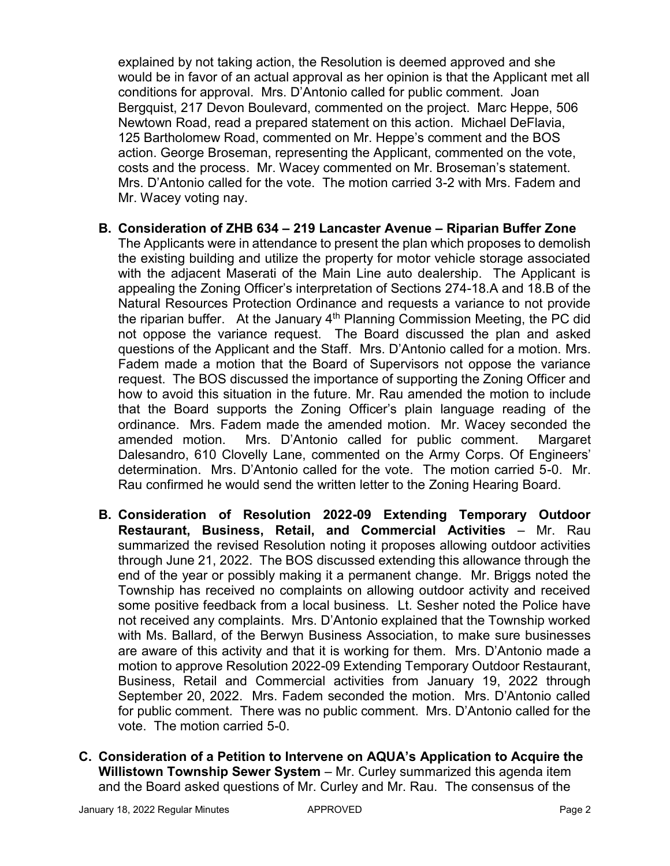explained by not taking action, the Resolution is deemed approved and she would be in favor of an actual approval as her opinion is that the Applicant met all conditions for approval. Mrs. D'Antonio called for public comment. Joan Bergquist, 217 Devon Boulevard, commented on the project. Marc Heppe, 506 Newtown Road, read a prepared statement on this action. Michael DeFlavia, 125 Bartholomew Road, commented on Mr. Heppe's comment and the BOS action. George Broseman, representing the Applicant, commented on the vote, costs and the process. Mr. Wacey commented on Mr. Broseman's statement. Mrs. D'Antonio called for the vote. The motion carried 3-2 with Mrs. Fadem and Mr. Wacey voting nay.

- **B. Consideration of ZHB 634 – 219 Lancaster Avenue – Riparian Buffer Zone** The Applicants were in attendance to present the plan which proposes to demolish the existing building and utilize the property for motor vehicle storage associated with the adjacent Maserati of the Main Line auto dealership. The Applicant is appealing the Zoning Officer's interpretation of Sections 274-18.A and 18.B of the Natural Resources Protection Ordinance and requests a variance to not provide the riparian buffer. At the January  $4<sup>th</sup>$  Planning Commission Meeting, the PC did not oppose the variance request. The Board discussed the plan and asked questions of the Applicant and the Staff. Mrs. D'Antonio called for a motion. Mrs. Fadem made a motion that the Board of Supervisors not oppose the variance request. The BOS discussed the importance of supporting the Zoning Officer and how to avoid this situation in the future. Mr. Rau amended the motion to include that the Board supports the Zoning Officer's plain language reading of the ordinance. Mrs. Fadem made the amended motion. Mr. Wacey seconded the amended motion. Mrs. D'Antonio called for public comment. Margaret Dalesandro, 610 Clovelly Lane, commented on the Army Corps. Of Engineers' determination. Mrs. D'Antonio called for the vote. The motion carried 5-0. Mr. Rau confirmed he would send the written letter to the Zoning Hearing Board.
- **B. Consideration of Resolution 2022-09 Extending Temporary Outdoor Restaurant, Business, Retail, and Commercial Activities** – Mr. Rau summarized the revised Resolution noting it proposes allowing outdoor activities through June 21, 2022. The BOS discussed extending this allowance through the end of the year or possibly making it a permanent change. Mr. Briggs noted the Township has received no complaints on allowing outdoor activity and received some positive feedback from a local business. Lt. Sesher noted the Police have not received any complaints. Mrs. D'Antonio explained that the Township worked with Ms. Ballard, of the Berwyn Business Association, to make sure businesses are aware of this activity and that it is working for them. Mrs. D'Antonio made a motion to approve Resolution 2022-09 Extending Temporary Outdoor Restaurant, Business, Retail and Commercial activities from January 19, 2022 through September 20, 2022. Mrs. Fadem seconded the motion. Mrs. D'Antonio called for public comment. There was no public comment. Mrs. D'Antonio called for the vote. The motion carried 5-0.
- **C. Consideration of a Petition to Intervene on AQUA's Application to Acquire the Willistown Township Sewer System** – Mr. Curley summarized this agenda item and the Board asked questions of Mr. Curley and Mr. Rau. The consensus of the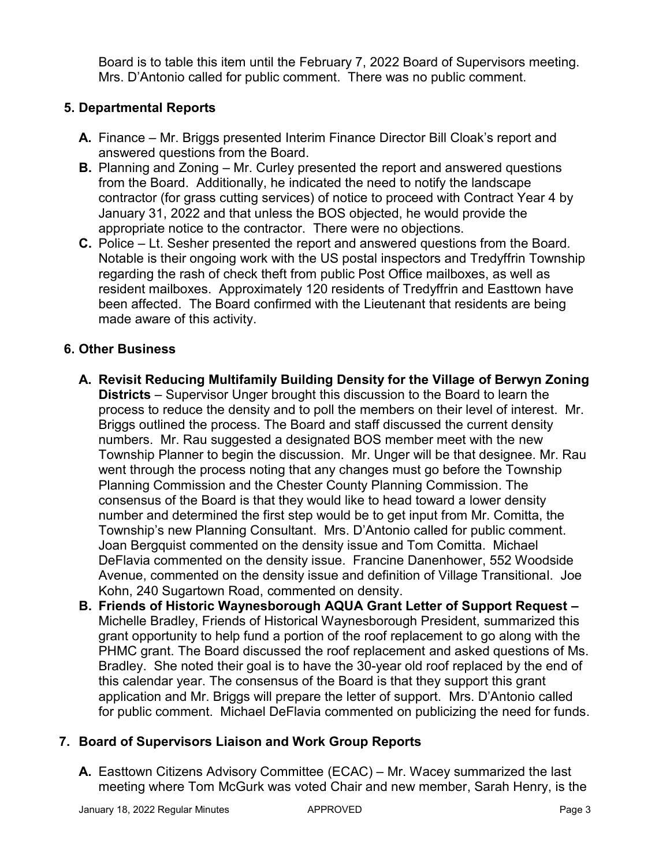Board is to table this item until the February 7, 2022 Board of Supervisors meeting. Mrs. D'Antonio called for public comment. There was no public comment.

# **5. Departmental Reports**

- **A.** Finance Mr. Briggs presented Interim Finance Director Bill Cloak's report and answered questions from the Board.
- **B.** Planning and Zoning Mr. Curley presented the report and answered questions from the Board. Additionally, he indicated the need to notify the landscape contractor (for grass cutting services) of notice to proceed with Contract Year 4 by January 31, 2022 and that unless the BOS objected, he would provide the appropriate notice to the contractor. There were no objections.
- **C.** Police Lt. Sesher presented the report and answered questions from the Board. Notable is their ongoing work with the US postal inspectors and Tredyffrin Township regarding the rash of check theft from public Post Office mailboxes, as well as resident mailboxes. Approximately 120 residents of Tredyffrin and Easttown have been affected. The Board confirmed with the Lieutenant that residents are being made aware of this activity.

### **6. Other Business**

- **A. Revisit Reducing Multifamily Building Density for the Village of Berwyn Zoning Districts** – Supervisor Unger brought this discussion to the Board to learn the process to reduce the density and to poll the members on their level of interest. Mr. Briggs outlined the process. The Board and staff discussed the current density numbers. Mr. Rau suggested a designated BOS member meet with the new Township Planner to begin the discussion. Mr. Unger will be that designee. Mr. Rau went through the process noting that any changes must go before the Township Planning Commission and the Chester County Planning Commission. The consensus of the Board is that they would like to head toward a lower density number and determined the first step would be to get input from Mr. Comitta, the Township's new Planning Consultant. Mrs. D'Antonio called for public comment. Joan Bergquist commented on the density issue and Tom Comitta. Michael DeFlavia commented on the density issue. Francine Danenhower, 552 Woodside Avenue, commented on the density issue and definition of Village Transitional. Joe Kohn, 240 Sugartown Road, commented on density.
- **B. Friends of Historic Waynesborough AQUA Grant Letter of Support Request –** Michelle Bradley, Friends of Historical Waynesborough President, summarized this grant opportunity to help fund a portion of the roof replacement to go along with the PHMC grant. The Board discussed the roof replacement and asked questions of Ms. Bradley. She noted their goal is to have the 30-year old roof replaced by the end of this calendar year. The consensus of the Board is that they support this grant application and Mr. Briggs will prepare the letter of support. Mrs. D'Antonio called for public comment. Michael DeFlavia commented on publicizing the need for funds.

### **7. Board of Supervisors Liaison and Work Group Reports**

**A.** Easttown Citizens Advisory Committee (ECAC) – Mr. Wacey summarized the last meeting where Tom McGurk was voted Chair and new member, Sarah Henry, is the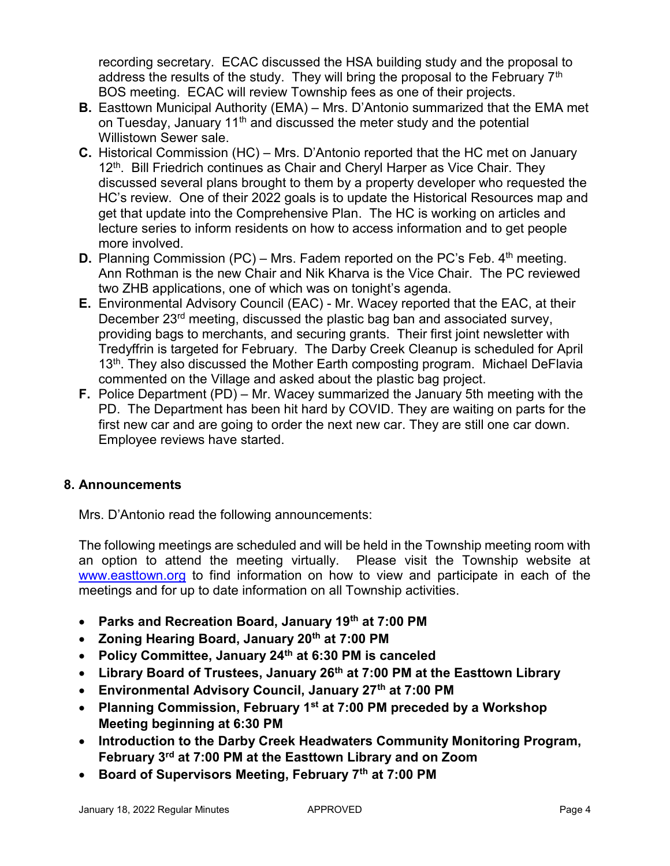recording secretary. ECAC discussed the HSA building study and the proposal to address the results of the study. They will bring the proposal to the February  $7<sup>th</sup>$ BOS meeting. ECAC will review Township fees as one of their projects.

- **B.** Easttown Municipal Authority (EMA) Mrs. D'Antonio summarized that the EMA met on Tuesday, January  $11<sup>th</sup>$  and discussed the meter study and the potential Willistown Sewer sale.
- **C.** Historical Commission (HC) Mrs. D'Antonio reported that the HC met on January 12<sup>th</sup>. Bill Friedrich continues as Chair and Cheryl Harper as Vice Chair. They discussed several plans brought to them by a property developer who requested the HC's review. One of their 2022 goals is to update the Historical Resources map and get that update into the Comprehensive Plan. The HC is working on articles and lecture series to inform residents on how to access information and to get people more involved.
- **D.** Planning Commission (PC) Mrs. Fadem reported on the PC's Feb. 4<sup>th</sup> meeting. Ann Rothman is the new Chair and Nik Kharva is the Vice Chair. The PC reviewed two ZHB applications, one of which was on tonight's agenda.
- **E.** Environmental Advisory Council (EAC) Mr. Wacey reported that the EAC, at their December 23<sup>rd</sup> meeting, discussed the plastic bag ban and associated survey, providing bags to merchants, and securing grants. Their first joint newsletter with Tredyffrin is targeted for February. The Darby Creek Cleanup is scheduled for April 13<sup>th</sup>. They also discussed the Mother Earth composting program. Michael DeFlavia commented on the Village and asked about the plastic bag project.
- **F.** Police Department (PD) Mr. Wacey summarized the January 5th meeting with the PD. The Department has been hit hard by COVID. They are waiting on parts for the first new car and are going to order the next new car. They are still one car down. Employee reviews have started.

# **8. Announcements**

Mrs. D'Antonio read the following announcements:

The following meetings are scheduled and will be held in the Township meeting room with an option to attend the meeting virtually. Please visit the Township website at [www.easttown.org](http://www.easttown.org/) to find information on how to view and participate in each of the meetings and for up to date information on all Township activities.

- **Parks and Recreation Board, January 19th at 7:00 PM**
- **Zoning Hearing Board, January 20th at 7:00 PM**
- **Policy Committee, January 24th at 6:30 PM is canceled**
- **Library Board of Trustees, January 26th at 7:00 PM at the Easttown Library**
- **Environmental Advisory Council, January 27th at 7:00 PM**
- **Planning Commission, February 1st at 7:00 PM preceded by a Workshop Meeting beginning at 6:30 PM**
- **Introduction to the Darby Creek Headwaters Community Monitoring Program, February 3rd at 7:00 PM at the Easttown Library and on Zoom**
- **Board of Supervisors Meeting, February 7th at 7:00 PM**